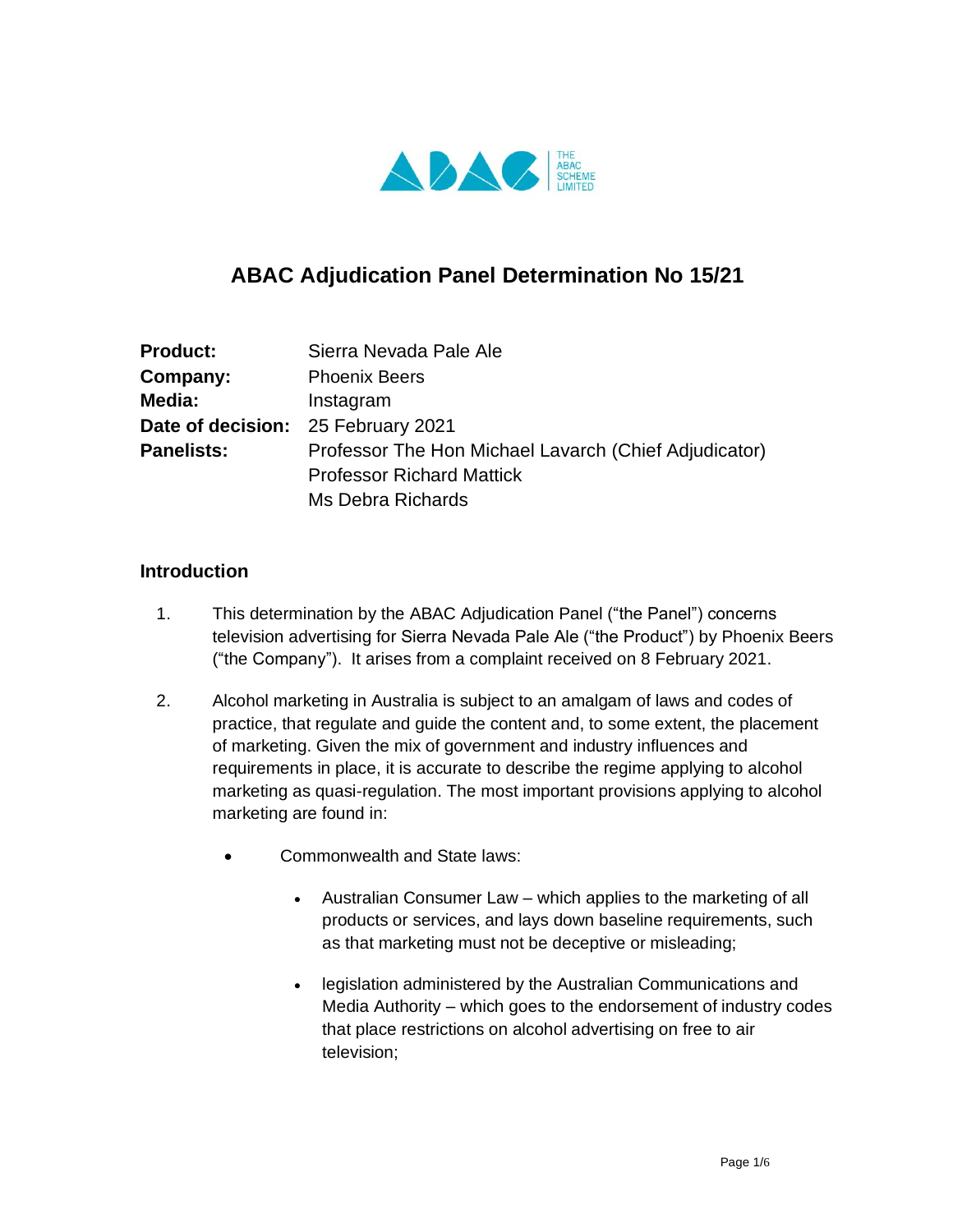

# **ABAC Adjudication Panel Determination No 15/21**

| <b>Product:</b>   | Sierra Nevada Pale Ale                                |
|-------------------|-------------------------------------------------------|
| Company:          | <b>Phoenix Beers</b>                                  |
| Media:            | Instagram                                             |
|                   | Date of decision: 25 February 2021                    |
| <b>Panelists:</b> | Professor The Hon Michael Lavarch (Chief Adjudicator) |
|                   | <b>Professor Richard Mattick</b>                      |
|                   | Ms Debra Richards                                     |

#### **Introduction**

- 1. This determination by the ABAC Adjudication Panel ("the Panel") concerns television advertising for Sierra Nevada Pale Ale ("the Product") by Phoenix Beers ("the Company"). It arises from a complaint received on 8 February 2021.
- 2. Alcohol marketing in Australia is subject to an amalgam of laws and codes of practice, that regulate and guide the content and, to some extent, the placement of marketing. Given the mix of government and industry influences and requirements in place, it is accurate to describe the regime applying to alcohol marketing as quasi-regulation. The most important provisions applying to alcohol marketing are found in:
	- Commonwealth and State laws:
		- Australian Consumer Law which applies to the marketing of all products or services, and lays down baseline requirements, such as that marketing must not be deceptive or misleading;
		- legislation administered by the Australian Communications and Media Authority – which goes to the endorsement of industry codes that place restrictions on alcohol advertising on free to air television;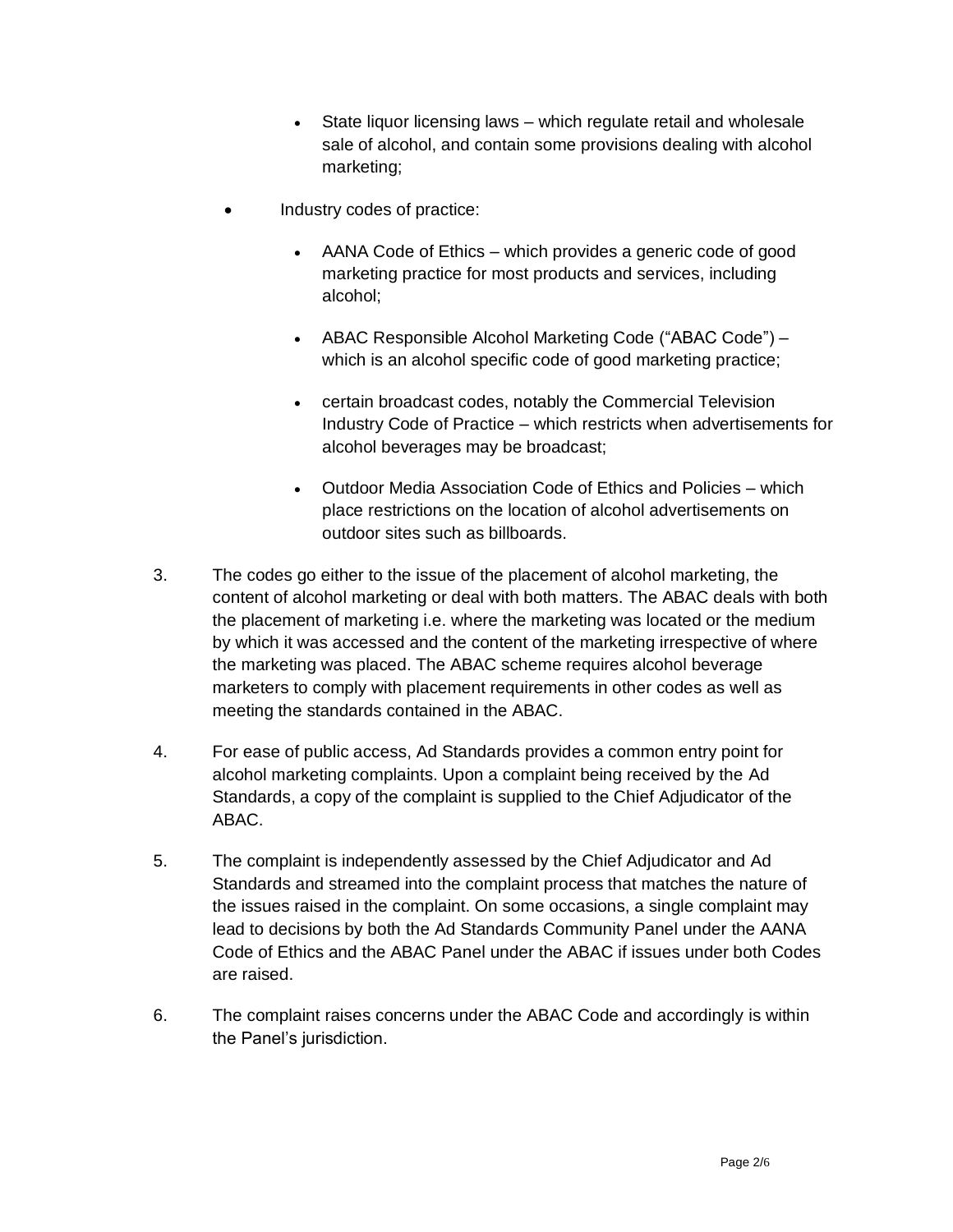- State liquor licensing laws which regulate retail and wholesale sale of alcohol, and contain some provisions dealing with alcohol marketing;
- Industry codes of practice:
	- AANA Code of Ethics which provides a generic code of good marketing practice for most products and services, including alcohol;
	- ABAC Responsible Alcohol Marketing Code ("ABAC Code") which is an alcohol specific code of good marketing practice;
	- certain broadcast codes, notably the Commercial Television Industry Code of Practice – which restricts when advertisements for alcohol beverages may be broadcast;
	- Outdoor Media Association Code of Ethics and Policies which place restrictions on the location of alcohol advertisements on outdoor sites such as billboards.
- 3. The codes go either to the issue of the placement of alcohol marketing, the content of alcohol marketing or deal with both matters. The ABAC deals with both the placement of marketing i.e. where the marketing was located or the medium by which it was accessed and the content of the marketing irrespective of where the marketing was placed. The ABAC scheme requires alcohol beverage marketers to comply with placement requirements in other codes as well as meeting the standards contained in the ABAC.
- 4. For ease of public access, Ad Standards provides a common entry point for alcohol marketing complaints. Upon a complaint being received by the Ad Standards, a copy of the complaint is supplied to the Chief Adjudicator of the ABAC.
- 5. The complaint is independently assessed by the Chief Adjudicator and Ad Standards and streamed into the complaint process that matches the nature of the issues raised in the complaint. On some occasions, a single complaint may lead to decisions by both the Ad Standards Community Panel under the AANA Code of Ethics and the ABAC Panel under the ABAC if issues under both Codes are raised.
- 6. The complaint raises concerns under the ABAC Code and accordingly is within the Panel's jurisdiction.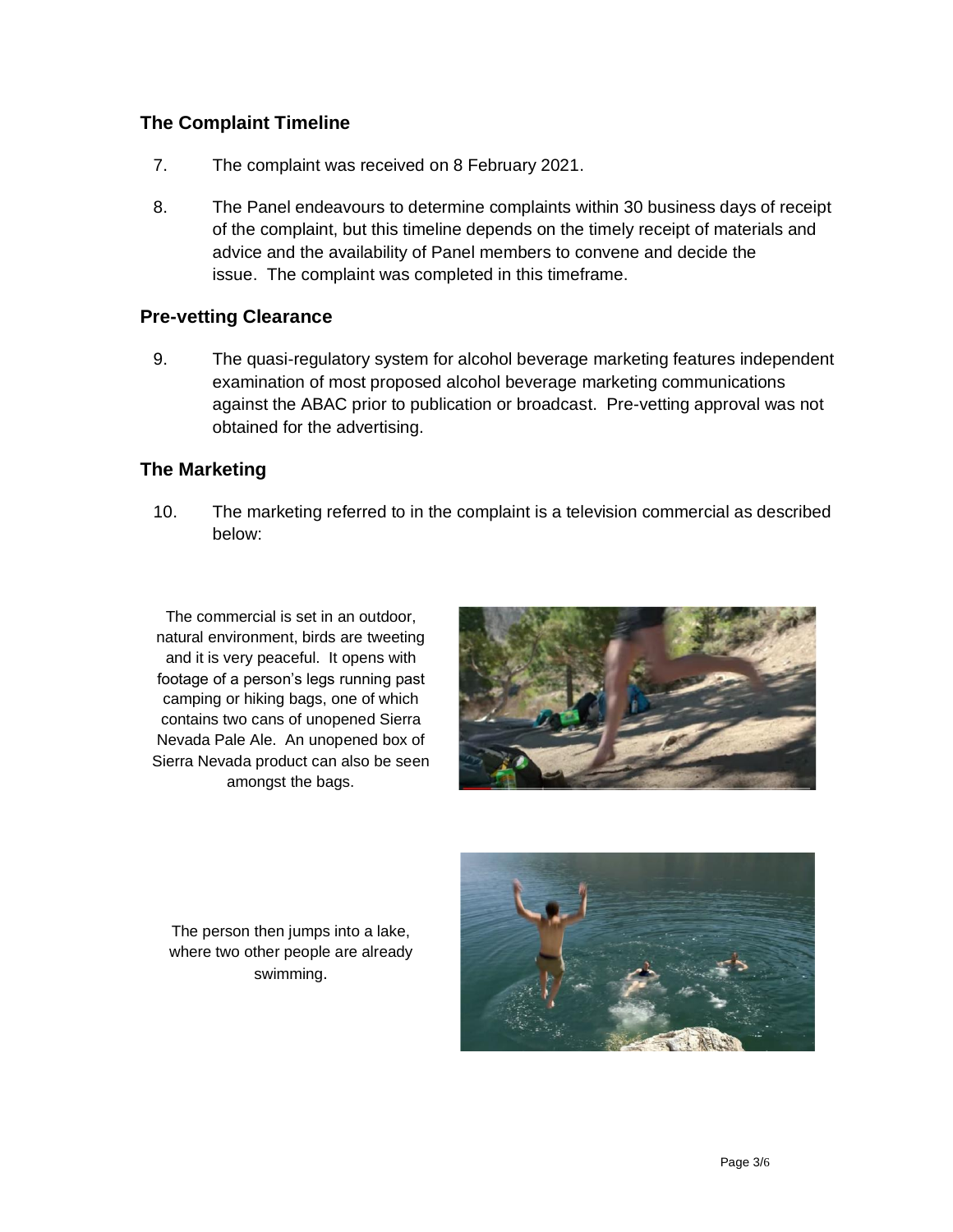## **The Complaint Timeline**

- 7. The complaint was received on 8 February 2021.
- 8. The Panel endeavours to determine complaints within 30 business days of receipt of the complaint, but this timeline depends on the timely receipt of materials and advice and the availability of Panel members to convene and decide the issue. The complaint was completed in this timeframe.

#### **Pre-vetting Clearance**

9. The quasi-regulatory system for alcohol beverage marketing features independent examination of most proposed alcohol beverage marketing communications against the ABAC prior to publication or broadcast. Pre-vetting approval was not obtained for the advertising.

#### **The Marketing**

10. The marketing referred to in the complaint is a television commercial as described below:

The commercial is set in an outdoor, natural environment, birds are tweeting and it is very peaceful. It opens with footage of a person's legs running past camping or hiking bags, one of which contains two cans of unopened Sierra Nevada Pale Ale. An unopened box of Sierra Nevada product can also be seen amongst the bags.



The person then jumps into a lake, where two other people are already swimming.

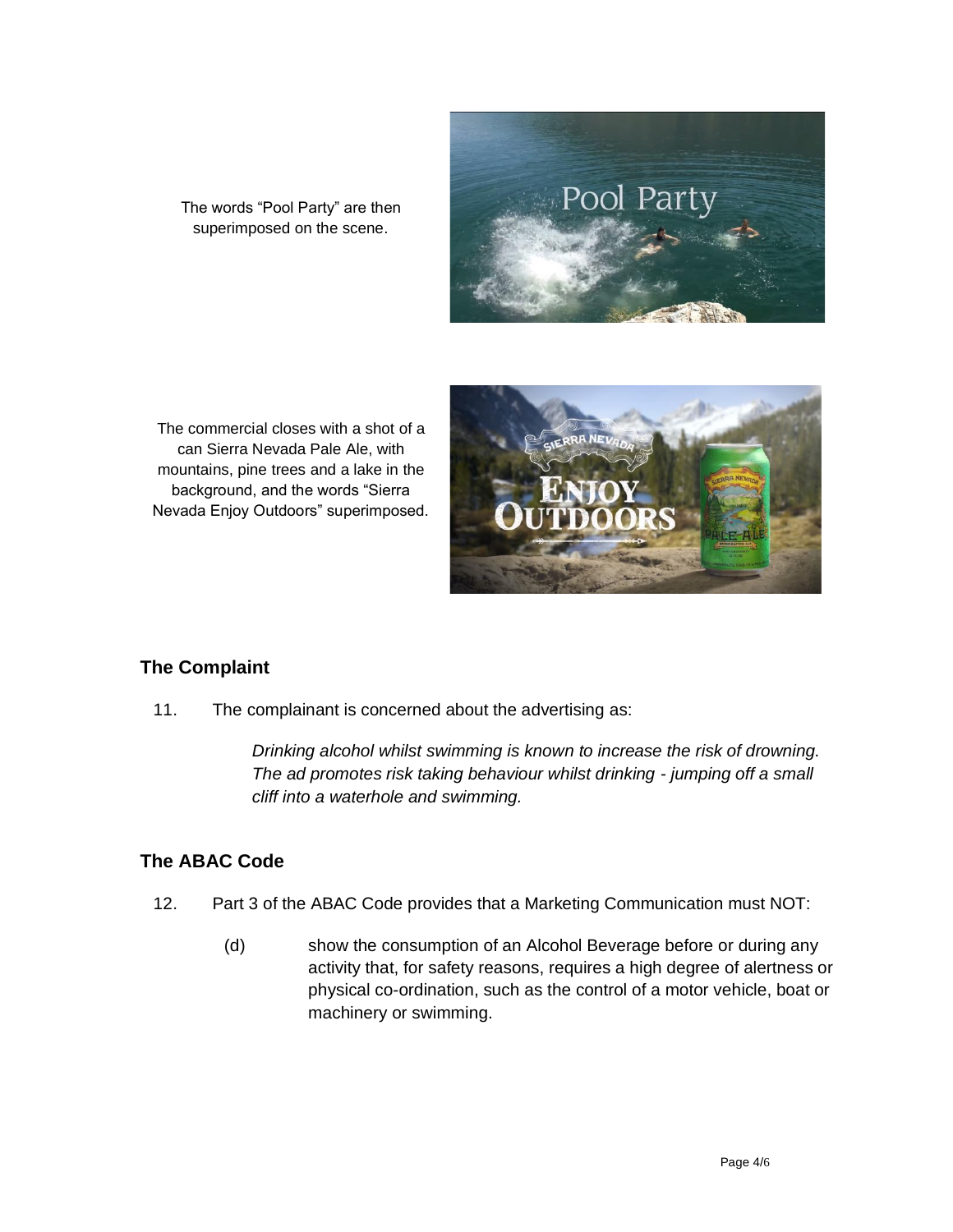The words "Pool Party" are then superimposed on the scene.



The commercial closes with a shot of a can Sierra Nevada Pale Ale, with mountains, pine trees and a lake in the background, and the words "Sierra Nevada Enjoy Outdoors" superimposed.



# **The Complaint**

11. The complainant is concerned about the advertising as:

*Drinking alcohol whilst swimming is known to increase the risk of drowning. The ad promotes risk taking behaviour whilst drinking - jumping off a small cliff into a waterhole and swimming.* 

#### **The ABAC Code**

- 12. Part 3 of the ABAC Code provides that a Marketing Communication must NOT:
	- (d) show the consumption of an Alcohol Beverage before or during any activity that, for safety reasons, requires a high degree of alertness or physical co-ordination, such as the control of a motor vehicle, boat or machinery or swimming.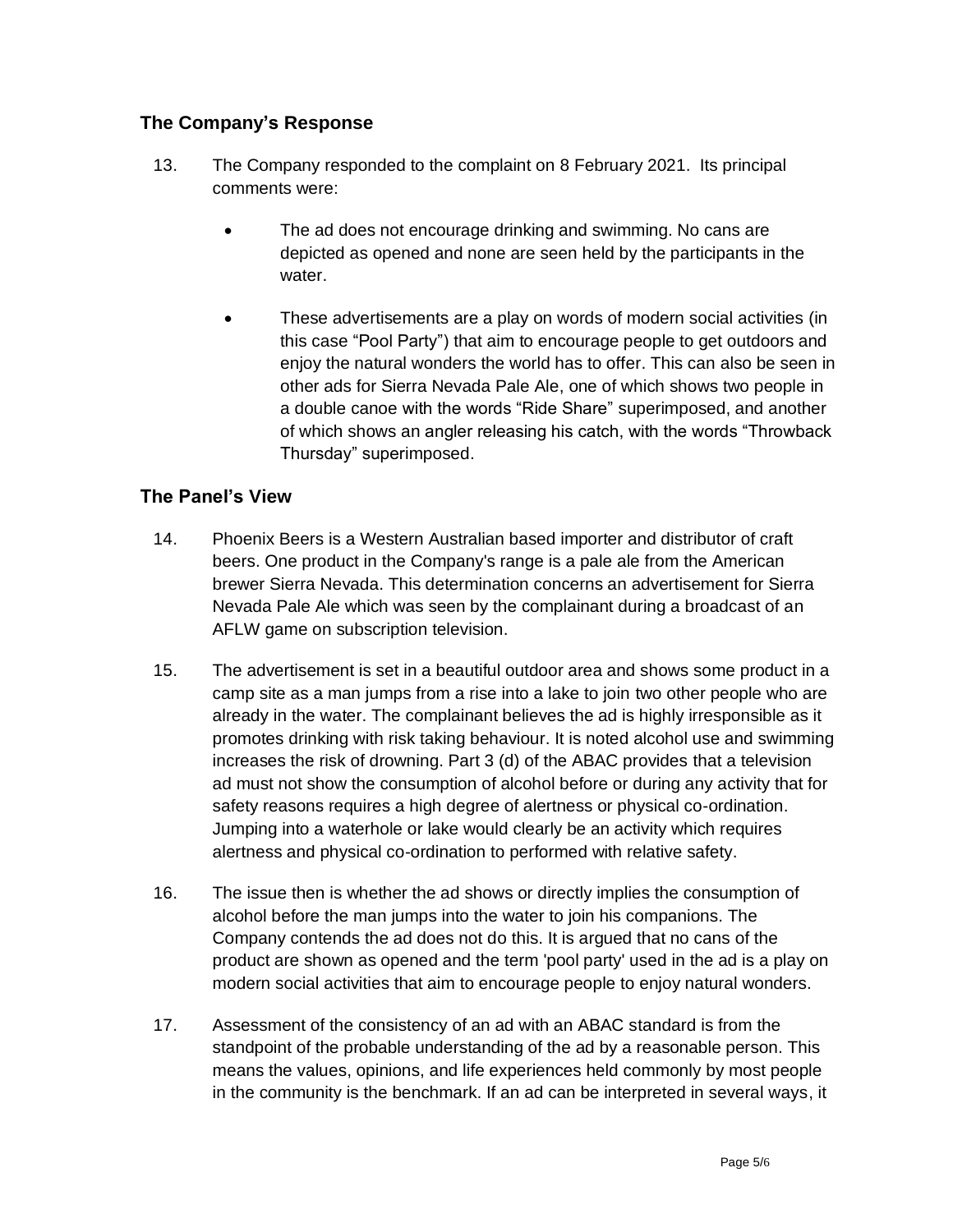# **The Company's Response**

- 13. The Company responded to the complaint on 8 February 2021. Its principal comments were:
	- The ad does not encourage drinking and swimming. No cans are depicted as opened and none are seen held by the participants in the water.
	- These advertisements are a play on words of modern social activities (in this case "Pool Party") that aim to encourage people to get outdoors and enjoy the natural wonders the world has to offer. This can also be seen in other ads for Sierra Nevada Pale Ale, one of which shows two people in a double canoe with the words "Ride Share" superimposed, and another of which shows an angler releasing his catch, with the words "Throwback Thursday" superimposed.

## **The Panel's View**

- 14. Phoenix Beers is a Western Australian based importer and distributor of craft beers. One product in the Company's range is a pale ale from the American brewer Sierra Nevada. This determination concerns an advertisement for Sierra Nevada Pale Ale which was seen by the complainant during a broadcast of an AFLW game on subscription television.
- 15. The advertisement is set in a beautiful outdoor area and shows some product in a camp site as a man jumps from a rise into a lake to join two other people who are already in the water. The complainant believes the ad is highly irresponsible as it promotes drinking with risk taking behaviour. It is noted alcohol use and swimming increases the risk of drowning. Part 3 (d) of the ABAC provides that a television ad must not show the consumption of alcohol before or during any activity that for safety reasons requires a high degree of alertness or physical co-ordination. Jumping into a waterhole or lake would clearly be an activity which requires alertness and physical co-ordination to performed with relative safety.
- 16. The issue then is whether the ad shows or directly implies the consumption of alcohol before the man jumps into the water to join his companions. The Company contends the ad does not do this. It is argued that no cans of the product are shown as opened and the term 'pool party' used in the ad is a play on modern social activities that aim to encourage people to enjoy natural wonders.
- 17. Assessment of the consistency of an ad with an ABAC standard is from the standpoint of the probable understanding of the ad by a reasonable person. This means the values, opinions, and life experiences held commonly by most people in the community is the benchmark. If an ad can be interpreted in several ways, it